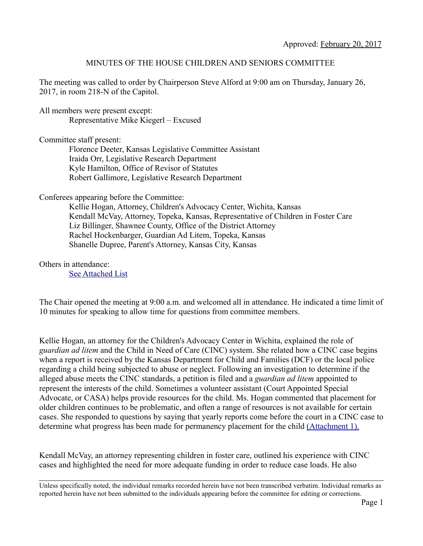## MINUTES OF THE HOUSE CHILDREN AND SENIORS COMMITTEE

The meeting was called to order by Chairperson Steve Alford at 9:00 am on Thursday, January 26, 2017, in room 218-N of the Capitol.

All members were present except: Representative Mike Kiegerl – Excused

Committee staff present:

Florence Deeter, Kansas Legislative Committee Assistant Iraida Orr, Legislative Research Department Kyle Hamilton, Office of Revisor of Statutes Robert Gallimore, Legislative Research Department

Conferees appearing before the Committee:

Kellie Hogan, Attorney, Children's Advocacy Center, Wichita, Kansas Kendall McVay, Attorney, Topeka, Kansas, Representative of Children in Foster Care Liz Billinger, Shawnee County, Office of the District Attorney Rachel Hockenbarger, Guardian Ad Litem, Topeka, Kansas Shanelle Dupree, Parent's Attorney, Kansas City, Kansas

## Others in attendance:

[See Attached List](http://kslegislature.org/li/b2017_18/committees/ctte_h_children_and_seniors_1/documents/attendees/20170126.pdf)

The Chair opened the meeting at 9:00 a.m. and welcomed all in attendance. He indicated a time limit of 10 minutes for speaking to allow time for questions from committee members.

Kellie Hogan, an attorney for the Children's Advocacy Center in Wichita, explained the role of *guardian ad litem* and the Child in Need of Care (CINC) system. She related how a CINC case begins when a report is received by the Kansas Department for Child and Families (DCF) or the local police regarding a child being subjected to abuse or neglect. Following an investigation to determine if the alleged abuse meets the CINC standards, a petition is filed and a *guardian ad litem* appointed to represent the interests of the child. Sometimes a volunteer assistant (Court Appointed Special Advocate, or CASA) helps provide resources for the child. Ms. Hogan commented that placement for older children continues to be problematic, and often a range of resources is not available for certain cases. She responded to questions by saying that yearly reports come before the court in a CINC case to determine what progress has been made for permanency placement for the child [\(Attachment 1\).](http://kslegislature.org/li/b2017_18/committees/ctte_h_children_and_seniors_1/documents/testimony/20170126_06.pdf)

Kendall McVay, an attorney representing children in foster care, outlined his experience with CINC cases and highlighted the need for more adequate funding in order to reduce case loads. He also

Unless specifically noted, the individual remarks recorded herein have not been transcribed verbatim. Individual remarks as reported herein have not been submitted to the individuals appearing before the committee for editing or corrections.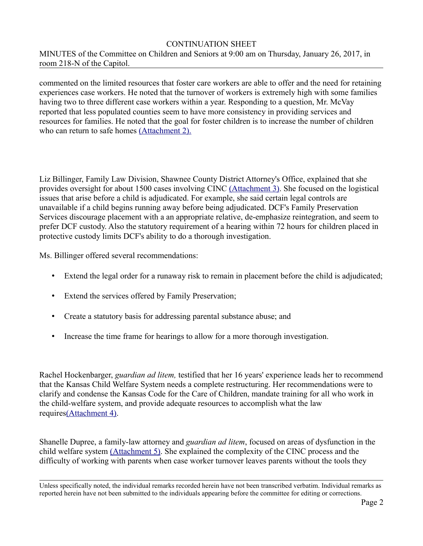## CONTINUATION SHEET

MINUTES of the Committee on Children and Seniors at 9:00 am on Thursday, January 26, 2017, in room 218-N of the Capitol.

commented on the limited resources that foster care workers are able to offer and the need for retaining experiences case workers. He noted that the turnover of workers is extremely high with some families having two to three different case workers within a year. Responding to a question, Mr. McVay reported that less populated counties seem to have more consistency in providing services and resources for families. He noted that the goal for foster children is to increase the number of children who can return to safe homes [\(Attachment 2\).](http://kslegislature.org/li/b2017_18/committees/ctte_h_children_and_seniors_1/documents/testimony/20170126_07.pdf)

Liz Billinger, Family Law Division, Shawnee County District Attorney's Office, explained that she provides oversight for about 1500 cases involving CINC [\(Attachment 3\).](http://kslegislature.org/li/b2017_18/committees/ctte_h_children_and_seniors_1/documents/testimony/20170126_10.pdf) She focused on the logistical issues that arise before a child is adjudicated. For example, she said certain legal controls are unavailable if a child begins running away before being adjudicated. DCF's Family Preservation Services discourage placement with a an appropriate relative, de-emphasize reintegration, and seem to prefer DCF custody. Also the statutory requirement of a hearing within 72 hours for children placed in protective custody limits DCF's ability to do a thorough investigation.

Ms. Billinger offered several recommendations:

- Extend the legal order for a runaway risk to remain in placement before the child is adjudicated;
- Extend the services offered by Family Preservation;
- Create a statutory basis for addressing parental substance abuse; and
- Increase the time frame for hearings to allow for a more thorough investigation.

Rachel Hockenbarger, *guardian ad litem,* testified that her 16 years' experience leads her to recommend that the Kansas Child Welfare System needs a complete restructuring. Her recommendations were to clarify and condense the Kansas Code for the Care of Children, mandate training for all who work in the child-welfare system, and provide adequate resources to accomplish what the law require[s\(Attachment 4\).](http://kslegislature.org/li/b2017_18/committees/ctte_h_children_and_seniors_1/documents/testimony/20170126_11.pdf)

Shanelle Dupree, a family-law attorney and *guardian ad litem*, focused on areas of dysfunction in the child welfare system [\(Attachment 5\).](http://kslegislature.org/li/b2017_18/committees/ctte_h_children_and_seniors_1/documents/testimony/20170126_13.pdf) She explained the complexity of the CINC process and the difficulty of working with parents when case worker turnover leaves parents without the tools they

Unless specifically noted, the individual remarks recorded herein have not been transcribed verbatim. Individual remarks as reported herein have not been submitted to the individuals appearing before the committee for editing or corrections.